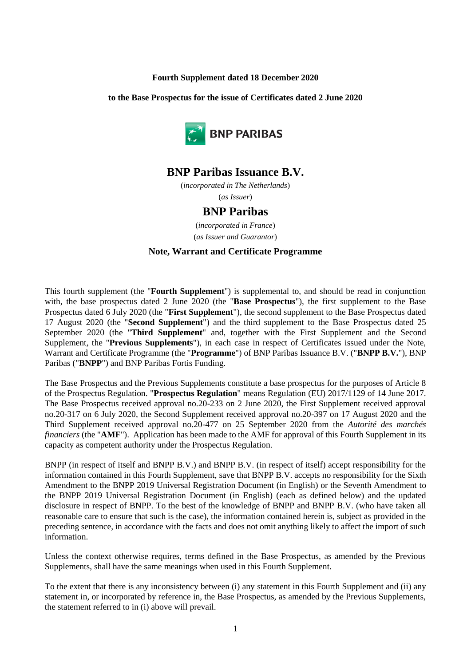#### **Fourth Supplement dated 18 December 2020**

**to the Base Prospectus for the issue of Certificates dated 2 June 2020**



# **BNP Paribas Issuance B.V.**

(*incorporated in The Netherlands*) (*as Issuer*)

## **BNP Paribas**

(*incorporated in France*) (*as Issuer and Guarantor*)

#### **Note, Warrant and Certificate Programme**

This fourth supplement (the "**Fourth Supplement**") is supplemental to, and should be read in conjunction with, the base prospectus dated 2 June 2020 (the "**Base Prospectus**"), the first supplement to the Base Prospectus dated 6 July 2020 (the "**First Supplement**"), the second supplement to the Base Prospectus dated 17 August 2020 (the "**Second Supplement**") and the third supplement to the Base Prospectus dated 25 September 2020 (the "**Third Supplement**" and, together with the First Supplement and the Second Supplement, the "**Previous Supplements**"), in each case in respect of Certificates issued under the Note, Warrant and Certificate Programme (the "**Programme**") of BNP Paribas Issuance B.V. ("**BNPP B.V.**"), BNP Paribas ("**BNPP**") and BNP Paribas Fortis Funding.

The Base Prospectus and the Previous Supplements constitute a base prospectus for the purposes of Article 8 of the Prospectus Regulation. "**Prospectus Regulation**" means Regulation (EU) 2017/1129 of 14 June 2017. The Base Prospectus received approval no.20-233 on 2 June 2020, the First Supplement received approval no.20-317 on 6 July 2020, the Second Supplement received approval no.20-397 on 17 August 2020 and the Third Supplement received approval no.20-477 on 25 September 2020 from the *Autorité des marchés financiers* (the "**AMF**"). Application has been made to the AMF for approval of this Fourth Supplement in its capacity as competent authority under the Prospectus Regulation.

BNPP (in respect of itself and BNPP B.V.) and BNPP B.V. (in respect of itself) accept responsibility for the information contained in this Fourth Supplement, save that BNPP B.V. accepts no responsibility for the Sixth Amendment to the BNPP 2019 Universal Registration Document (in English) or the Seventh Amendment to the BNPP 2019 Universal Registration Document (in English) (each as defined below) and the updated disclosure in respect of BNPP. To the best of the knowledge of BNPP and BNPP B.V. (who have taken all reasonable care to ensure that such is the case), the information contained herein is, subject as provided in the preceding sentence, in accordance with the facts and does not omit anything likely to affect the import of such information.

Unless the context otherwise requires, terms defined in the Base Prospectus, as amended by the Previous Supplements, shall have the same meanings when used in this Fourth Supplement.

To the extent that there is any inconsistency between (i) any statement in this Fourth Supplement and (ii) any statement in, or incorporated by reference in, the Base Prospectus, as amended by the Previous Supplements, the statement referred to in (i) above will prevail.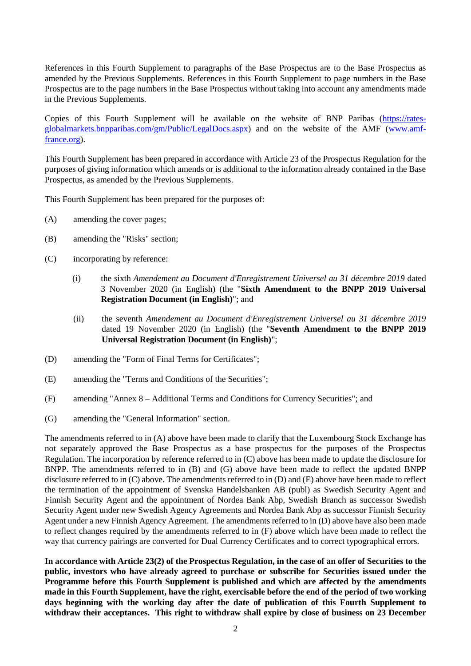References in this Fourth Supplement to paragraphs of the Base Prospectus are to the Base Prospectus as amended by the Previous Supplements. References in this Fourth Supplement to page numbers in the Base Prospectus are to the page numbers in the Base Prospectus without taking into account any amendments made in the Previous Supplements.

Copies of this Fourth Supplement will be available on the website of BNP Paribas [\(https://rates](https://rates-globalmarkets.bnpparibas.com/gm/Public/LegalDocs.aspx)[globalmarkets.bnpparibas.com/gm/Public/LegalDocs.aspx\)](https://rates-globalmarkets.bnpparibas.com/gm/Public/LegalDocs.aspx) and on the website of the AMF [\(www.amf](http://www.amf-france.org/)[france.org\)](http://www.amf-france.org/).

This Fourth Supplement has been prepared in accordance with Article 23 of the Prospectus Regulation for the purposes of giving information which amends or is additional to the information already contained in the Base Prospectus, as amended by the Previous Supplements.

<span id="page-1-0"></span>This Fourth Supplement has been prepared for the purposes of:

- <span id="page-1-2"></span>(A) amending the cover pages;
- <span id="page-1-1"></span>(B) amending the "Risks" section;
- (C) incorporating by reference:
	- (i) the sixth *Amendement au Document d'Enregistrement Universel au 31 décembre 2019* dated 3 November 2020 (in English) (the "**Sixth Amendment to the BNPP 2019 Universal Registration Document (in English)**"; and
	- (ii) the seventh *Amendement au Document d'Enregistrement Universel au 31 décembre 2019* dated 19 November 2020 (in English) (the "**Seventh Amendment to the BNPP 2019 Universal Registration Document (in English)**";
- <span id="page-1-5"></span><span id="page-1-4"></span>(D) amending the "Form of Final Terms for Certificates";
- <span id="page-1-6"></span>(E) amending the "Terms and Conditions of the Securities";
- <span id="page-1-3"></span>(F) amending "Annex 8 – Additional Terms and Conditions for Currency Securities"; and
- (G) amending the "General Information" section.

The amendments referred to in [\(A\) above](#page-1-0) have been made to clarify that the Luxembourg Stock Exchange has not separately approved the Base Prospectus as a base prospectus for the purposes of the Prospectus Regulation. The incorporation by reference referred to i[n \(C\) above](#page-1-1) has been made to update the disclosure for BNPP. The amendments referred to in [\(B\)](#page-1-2) and [\(G\) above](#page-1-3) have been made to reflect the updated BNPP disclosure referred to in [\(C\) above.](#page-1-1) The amendments referred to in [\(D\)](#page-1-4) an[d \(E\) above](#page-1-5) have been made to reflect the termination of the appointment of Svenska Handelsbanken AB (publ) as Swedish Security Agent and Finnish Security Agent and the appointment of Nordea Bank Abp, Swedish Branch as successor Swedish Security Agent under new Swedish Agency Agreements and Nordea Bank Abp as successor Finnish Security Agent under a new Finnish Agency Agreement. The amendments referred to i[n \(D\) above](#page-1-4) have also been made to reflect changes required by the amendments referred to in [\(F\) above](#page-1-6) which have been made to reflect the way that currency pairings are converted for Dual Currency Certificates and to correct typographical errors.

**In accordance with Article 23(2) of the Prospectus Regulation, in the case of an offer of Securities to the public, investors who have already agreed to purchase or subscribe for Securities issued under the Programme before this Fourth Supplement is published and which are affected by the amendments made in this Fourth Supplement, have the right, exercisable before the end of the period of two working days beginning with the working day after the date of publication of this Fourth Supplement to withdraw their acceptances. This right to withdraw shall expire by close of business on 23 December**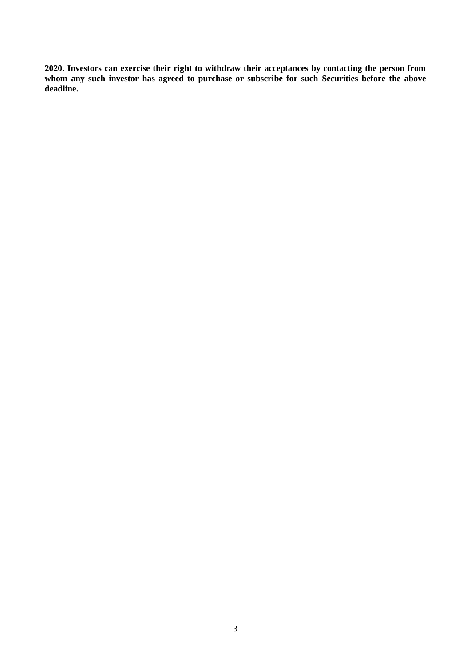**2020. Investors can exercise their right to withdraw their acceptances by contacting the person from whom any such investor has agreed to purchase or subscribe for such Securities before the above deadline.**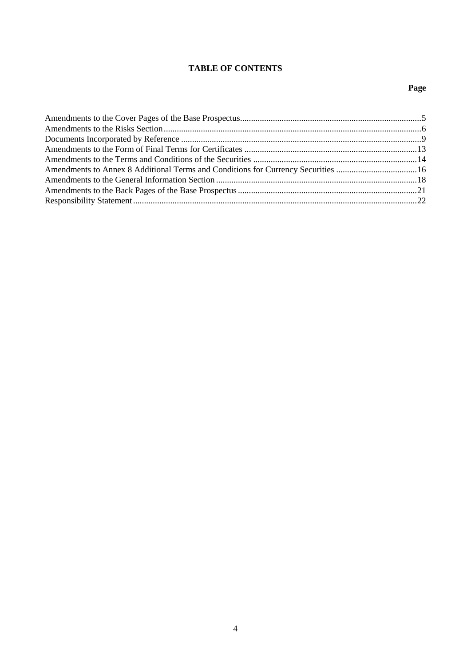## **TABLE OF CONTENTS**

## **Page**

| Amendments to Annex 8 Additional Terms and Conditions for Currency Securities 16 |  |
|----------------------------------------------------------------------------------|--|
|                                                                                  |  |
|                                                                                  |  |
|                                                                                  |  |
|                                                                                  |  |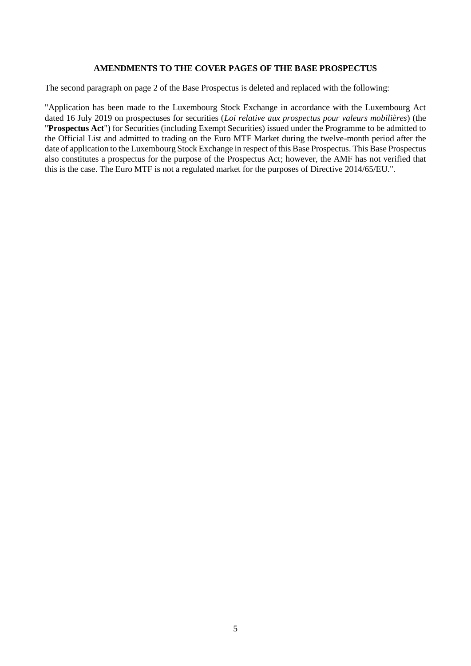#### **AMENDMENTS TO THE COVER PAGES OF THE BASE PROSPECTUS**

The second paragraph on page 2 of the Base Prospectus is deleted and replaced with the following:

"Application has been made to the Luxembourg Stock Exchange in accordance with the Luxembourg Act dated 16 July 2019 on prospectuses for securities (*Loi relative aux prospectus pour valeurs mobilières*) (the "**Prospectus Act**") for Securities (including Exempt Securities) issued under the Programme to be admitted to the Official List and admitted to trading on the Euro MTF Market during the twelve-month period after the date of application to the Luxembourg Stock Exchange in respect of this Base Prospectus. This Base Prospectus also constitutes a prospectus for the purpose of the Prospectus Act; however, the AMF has not verified that this is the case. The Euro MTF is not a regulated market for the purposes of Directive 2014/65/EU.".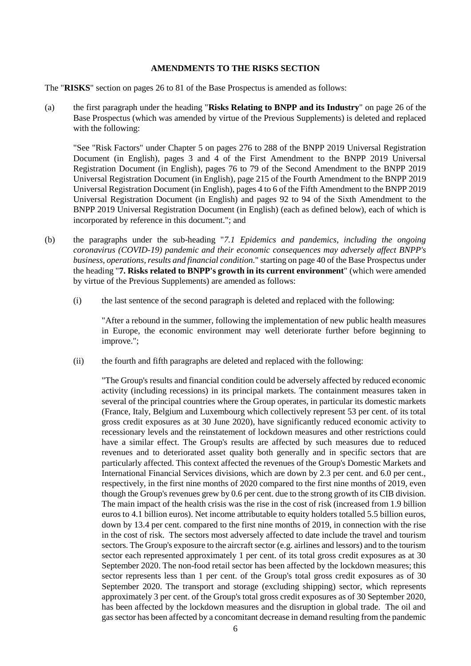#### **AMENDMENTS TO THE RISKS SECTION**

The "**RISKS**" section on pages 26 to 81 of the Base Prospectus is amended as follows:

(a) the first paragraph under the heading "**Risks Relating to BNPP and its Industry**" on page 26 of the Base Prospectus (which was amended by virtue of the Previous Supplements) is deleted and replaced with the following:

"See "Risk Factors" under Chapter 5 on pages 276 to 288 of the BNPP 2019 Universal Registration Document (in English), pages 3 and 4 of the First Amendment to the BNPP 2019 Universal Registration Document (in English), pages 76 to 79 of the Second Amendment to the BNPP 2019 Universal Registration Document (in English), page 215 of the Fourth Amendment to the BNPP 2019 Universal Registration Document (in English), pages 4 to 6 of the Fifth Amendment to the BNPP 2019 Universal Registration Document (in English) and pages 92 to 94 of the Sixth Amendment to the BNPP 2019 Universal Registration Document (in English) (each as defined below), each of which is incorporated by reference in this document."; and

- (b) the paragraphs under the sub-heading "*7.1 Epidemics and pandemics, including the ongoing coronavirus (COVID-19) pandemic and their economic consequences may adversely affect BNPP's business, operations, results and financial condition.*" starting on page 40 of the Base Prospectus under the heading "**7. Risks related to BNPP's growth in its current environment**" (which were amended by virtue of the Previous Supplements) are amended as follows:
	- (i) the last sentence of the second paragraph is deleted and replaced with the following:

"After a rebound in the summer, following the implementation of new public health measures in Europe, the economic environment may well deteriorate further before beginning to improve.";

(ii) the fourth and fifth paragraphs are deleted and replaced with the following:

"The Group's results and financial condition could be adversely affected by reduced economic activity (including recessions) in its principal markets. The containment measures taken in several of the principal countries where the Group operates, in particular its domestic markets (France, Italy, Belgium and Luxembourg which collectively represent 53 per cent. of its total gross credit exposures as at 30 June 2020), have significantly reduced economic activity to recessionary levels and the reinstatement of lockdown measures and other restrictions could have a similar effect. The Group's results are affected by such measures due to reduced revenues and to deteriorated asset quality both generally and in specific sectors that are particularly affected. This context affected the revenues of the Group's Domestic Markets and International Financial Services divisions, which are down by 2.3 per cent. and 6.0 per cent., respectively, in the first nine months of 2020 compared to the first nine months of 2019, even though the Group's revenues grew by 0.6 per cent. due to the strong growth of its CIB division. The main impact of the health crisis was the rise in the cost of risk (increased from 1.9 billion euros to 4.1 billion euros). Net income attributable to equity holders totalled 5.5 billion euros, down by 13.4 per cent. compared to the first nine months of 2019, in connection with the rise in the cost of risk. The sectors most adversely affected to date include the travel and tourism sectors. The Group's exposure to the aircraft sector (e.g. airlines and lessors) and to the tourism sector each represented approximately 1 per cent. of its total gross credit exposures as at 30 September 2020. The non-food retail sector has been affected by the lockdown measures; this sector represents less than 1 per cent. of the Group's total gross credit exposures as of 30 September 2020. The transport and storage (excluding shipping) sector, which represents approximately 3 per cent. of the Group's total gross credit exposures as of 30 September 2020, has been affected by the lockdown measures and the disruption in global trade. The oil and gas sector has been affected by a concomitant decrease in demand resulting from the pandemic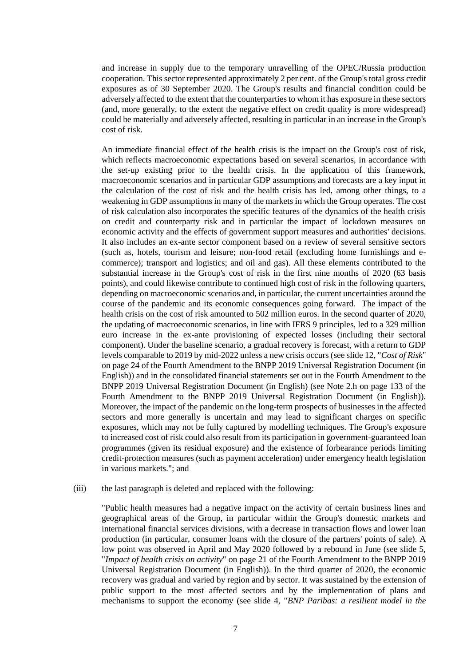and increase in supply due to the temporary unravelling of the OPEC/Russia production cooperation. This sector represented approximately 2 per cent. of the Group's total gross credit exposures as of 30 September 2020. The Group's results and financial condition could be adversely affected to the extent that the counterparties to whom it has exposure in these sectors (and, more generally, to the extent the negative effect on credit quality is more widespread) could be materially and adversely affected, resulting in particular in an increase in the Group's cost of risk.

An immediate financial effect of the health crisis is the impact on the Group's cost of risk, which reflects macroeconomic expectations based on several scenarios, in accordance with the set-up existing prior to the health crisis. In the application of this framework, macroeconomic scenarios and in particular GDP assumptions and forecasts are a key input in the calculation of the cost of risk and the health crisis has led, among other things, to a weakening in GDP assumptions in many of the markets in which the Group operates. The cost of risk calculation also incorporates the specific features of the dynamics of the health crisis on credit and counterparty risk and in particular the impact of lockdown measures on economic activity and the effects of government support measures and authorities' decisions. It also includes an ex-ante sector component based on a review of several sensitive sectors (such as, hotels, tourism and leisure; non-food retail (excluding home furnishings and ecommerce); transport and logistics; and oil and gas). All these elements contributed to the substantial increase in the Group's cost of risk in the first nine months of 2020 (63 basis points), and could likewise contribute to continued high cost of risk in the following quarters, depending on macroeconomic scenarios and, in particular, the current uncertainties around the course of the pandemic and its economic consequences going forward. The impact of the health crisis on the cost of risk amounted to 502 million euros. In the second quarter of 2020, the updating of macroeconomic scenarios, in line with IFRS 9 principles, led to a 329 million euro increase in the ex-ante provisioning of expected losses (including their sectoral component). Under the baseline scenario, a gradual recovery is forecast, with a return to GDP levels comparable to 2019 by mid-2022 unless a new crisis occurs (see slide 12, "*Cost of Risk*" on page 24 of the Fourth Amendment to the BNPP 2019 Universal Registration Document (in English)) and in the consolidated financial statements set out in the Fourth Amendment to the BNPP 2019 Universal Registration Document (in English) (see Note 2.h on page 133 of the Fourth Amendment to the BNPP 2019 Universal Registration Document (in English)). Moreover, the impact of the pandemic on the long-term prospects of businesses in the affected sectors and more generally is uncertain and may lead to significant charges on specific exposures, which may not be fully captured by modelling techniques. The Group's exposure to increased cost of risk could also result from its participation in government-guaranteed loan programmes (given its residual exposure) and the existence of forbearance periods limiting credit-protection measures (such as payment acceleration) under emergency health legislation in various markets."; and

#### (iii) the last paragraph is deleted and replaced with the following:

"Public health measures had a negative impact on the activity of certain business lines and geographical areas of the Group, in particular within the Group's domestic markets and international financial services divisions, with a decrease in transaction flows and lower loan production (in particular, consumer loans with the closure of the partners' points of sale). A low point was observed in April and May 2020 followed by a rebound in June (see slide 5, "*Impact of health crisis on activity*" on page 21 of the Fourth Amendment to the BNPP 2019 Universal Registration Document (in English)). In the third quarter of 2020, the economic recovery was gradual and varied by region and by sector. It was sustained by the extension of public support to the most affected sectors and by the implementation of plans and mechanisms to support the economy (see slide 4, "*BNP Paribas: a resilient model in the*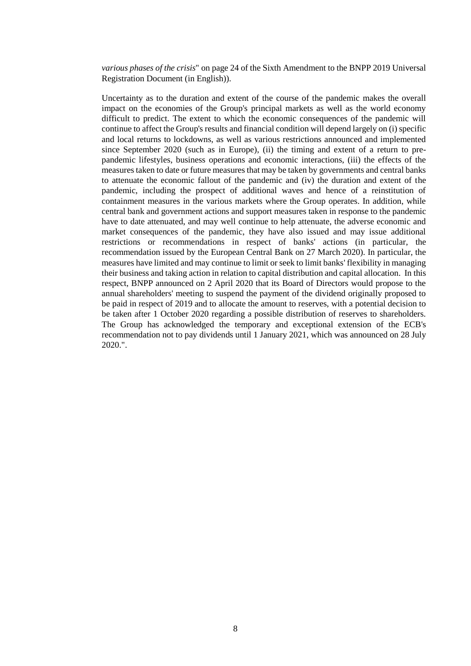*various phases of the crisis*" on page 24 of the Sixth Amendment to the BNPP 2019 Universal Registration Document (in English)).

Uncertainty as to the duration and extent of the course of the pandemic makes the overall impact on the economies of the Group's principal markets as well as the world economy difficult to predict. The extent to which the economic consequences of the pandemic will continue to affect the Group's results and financial condition will depend largely on (i) specific and local returns to lockdowns, as well as various restrictions announced and implemented since September 2020 (such as in Europe), (ii) the timing and extent of a return to prepandemic lifestyles, business operations and economic interactions, (iii) the effects of the measures taken to date or future measures that may be taken by governments and central banks to attenuate the economic fallout of the pandemic and (iv) the duration and extent of the pandemic, including the prospect of additional waves and hence of a reinstitution of containment measures in the various markets where the Group operates. In addition, while central bank and government actions and support measures taken in response to the pandemic have to date attenuated, and may well continue to help attenuate, the adverse economic and market consequences of the pandemic, they have also issued and may issue additional restrictions or recommendations in respect of banks' actions (in particular, the recommendation issued by the European Central Bank on 27 March 2020). In particular, the measures have limited and may continue to limit or seek to limit banks' flexibility in managing their business and taking action in relation to capital distribution and capital allocation. In this respect, BNPP announced on 2 April 2020 that its Board of Directors would propose to the annual shareholders' meeting to suspend the payment of the dividend originally proposed to be paid in respect of 2019 and to allocate the amount to reserves, with a potential decision to be taken after 1 October 2020 regarding a possible distribution of reserves to shareholders. The Group has acknowledged the temporary and exceptional extension of the ECB's recommendation not to pay dividends until 1 January 2021, which was announced on 28 July 2020.".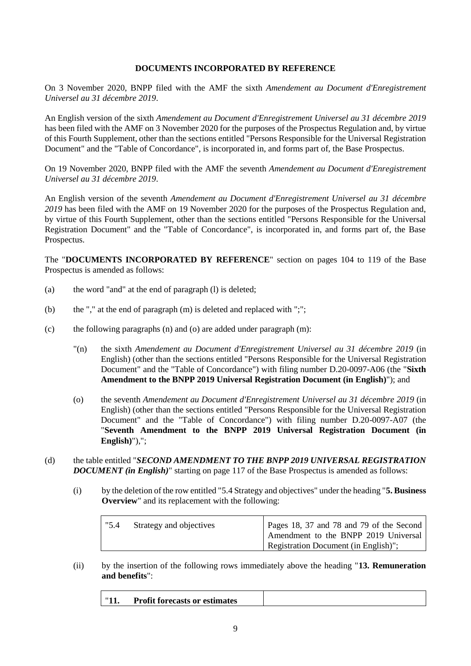#### **DOCUMENTS INCORPORATED BY REFERENCE**

On 3 November 2020, BNPP filed with the AMF the sixth *Amendement au Document d'Enregistrement Universel au 31 décembre 2019*.

An English version of the sixth *Amendement au Document d'Enregistrement Universel au 31 décembre 2019* has been filed with the AMF on 3 November 2020 for the purposes of the Prospectus Regulation and, by virtue of this Fourth Supplement, other than the sections entitled "Persons Responsible for the Universal Registration Document" and the "Table of Concordance", is incorporated in, and forms part of, the Base Prospectus.

On 19 November 2020, BNPP filed with the AMF the seventh *Amendement au Document d'Enregistrement Universel au 31 décembre 2019*.

An English version of the seventh *Amendement au Document d'Enregistrement Universel au 31 décembre 2019* has been filed with the AMF on 19 November 2020 for the purposes of the Prospectus Regulation and, by virtue of this Fourth Supplement, other than the sections entitled "Persons Responsible for the Universal Registration Document" and the "Table of Concordance", is incorporated in, and forms part of, the Base Prospectus.

The "**DOCUMENTS INCORPORATED BY REFERENCE**" section on pages 104 to 119 of the Base Prospectus is amended as follows:

- (a) the word "and" at the end of paragraph (l) is deleted;
- (b) the "," at the end of paragraph (m) is deleted and replaced with ";";
- (c) the following paragraphs (n) and (o) are added under paragraph (m):
	- "(n) the sixth *Amendement au Document d'Enregistrement Universel au 31 décembre 2019* (in English) (other than the sections entitled "Persons Responsible for the Universal Registration Document" and the "Table of Concordance") with filing number D.20-0097-A06 (the "**Sixth Amendment to the BNPP 2019 Universal Registration Document (in English)**"); and
	- (o) the seventh *Amendement au Document d'Enregistrement Universel au 31 décembre 2019* (in English) (other than the sections entitled "Persons Responsible for the Universal Registration Document" and the "Table of Concordance") with filing number D.20-0097-A07 (the "**Seventh Amendment to the BNPP 2019 Universal Registration Document (in English)**"),";
- (d) the table entitled "*SECOND AMENDMENT TO THE BNPP 2019 UNIVERSAL REGISTRATION DOCUMENT (in English)*" starting on page 117 of the Base Prospectus is amended as follows:
	- (i) by the deletion of the row entitled "5.4 Strategy and objectives" under the heading "**5. Business Overview**" and its replacement with the following:

| "5.4" | Strategy and objectives | Pages 18, 37 and 78 and 79 of the Second |
|-------|-------------------------|------------------------------------------|
|       |                         | Amendment to the BNPP 2019 Universal     |
|       |                         | Registration Document (in English)";     |

(ii) by the insertion of the following rows immediately above the heading "**13. Remuneration and benefits**":

| <b>Profit forecasts or estimates</b> |  |
|--------------------------------------|--|
|                                      |  |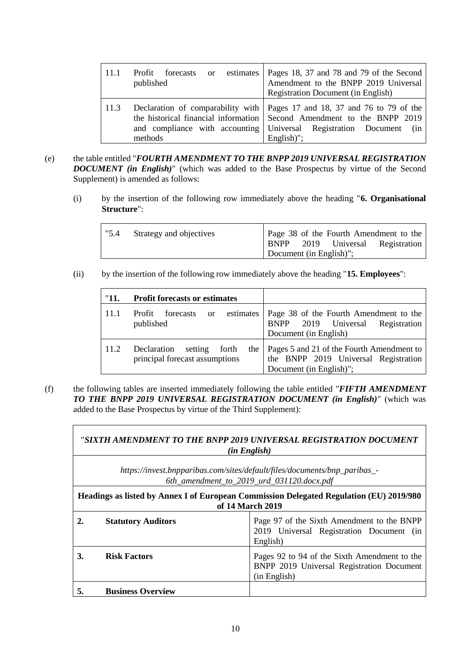|      | published | Profit forecasts or estimates   Pages 18, 37 and 78 and 79 of the Second<br>Amendment to the BNPP 2019 Universal<br><b>Registration Document (in English)</b>                                                                             |
|------|-----------|-------------------------------------------------------------------------------------------------------------------------------------------------------------------------------------------------------------------------------------------|
| 11.3 | methods   | Declaration of comparability with   Pages 17 and 18, 37 and 76 to 79 of the<br>the historical financial information Second Amendment to the BNPP 2019<br>and compliance with accounting Universal Registration Document (in<br>English)"; |

- (e) the table entitled "*FOURTH AMENDMENT TO THE BNPP 2019 UNIVERSAL REGISTRATION DOCUMENT (in English)*" (which was added to the Base Prospectus by virtue of the Second Supplement) is amended as follows:
	- (i) by the insertion of the following row immediately above the heading "**6. Organisational Structure**":

| "5.4" | Strategy and objectives |                         |  | Page 38 of the Fourth Amendment to the |
|-------|-------------------------|-------------------------|--|----------------------------------------|
|       |                         |                         |  | BNPP 2019 Universal Registration       |
|       |                         | Document (in English)"; |  |                                        |

(ii) by the insertion of the following row immediately above the heading "**15. Employees**":

| "11. | <b>Profit forecasts or estimates</b>                                  |                                                                                                              |  |
|------|-----------------------------------------------------------------------|--------------------------------------------------------------------------------------------------------------|--|
| 11.1 | forecasts<br>estimates<br>Profit<br><sub>or</sub><br>published        | Page 38 of the Fourth Amendment to the<br>BNPP 2019 Universal<br>Registration<br>Document (in English)       |  |
| 11.2 | Declaration<br>setting forth<br>the<br>principal forecast assumptions | Pages 5 and 21 of the Fourth Amendment to<br>the BNPP 2019 Universal Registration<br>Document (in English)"; |  |

٦

(f) the following tables are inserted immediately following the table entitled "*FIFTH AMENDMENT TO THE BNPP 2019 UNIVERSAL REGISTRATION DOCUMENT (in English)*" (which was added to the Base Prospectus by virtue of the Third Supplement):

|    | "SIXTH AMENDMENT TO THE BNPP 2019 UNIVERSAL REGISTRATION DOCUMENT<br>(in English)                                      |                                                                                                           |  |  |
|----|------------------------------------------------------------------------------------------------------------------------|-----------------------------------------------------------------------------------------------------------|--|--|
|    | https://invest.bnpparibas.com/sites/default/files/documents/bnp_paribas_-<br>6th_amendment_to_2019_urd_031120.docx.pdf |                                                                                                           |  |  |
|    | <b>Headings as listed by Annex I of European Commission Delegated Regulation (EU) 2019/980</b><br>of 14 March 2019     |                                                                                                           |  |  |
|    | <b>Statutory Auditors</b>                                                                                              | Page 97 of the Sixth Amendment to the BNPP<br>2019 Universal Registration Document (in<br>English)        |  |  |
| 3. | <b>Risk Factors</b>                                                                                                    | Pages 92 to 94 of the Sixth Amendment to the<br>BNPP 2019 Universal Registration Document<br>(in English) |  |  |
| 5. | <b>Business Overview</b>                                                                                               |                                                                                                           |  |  |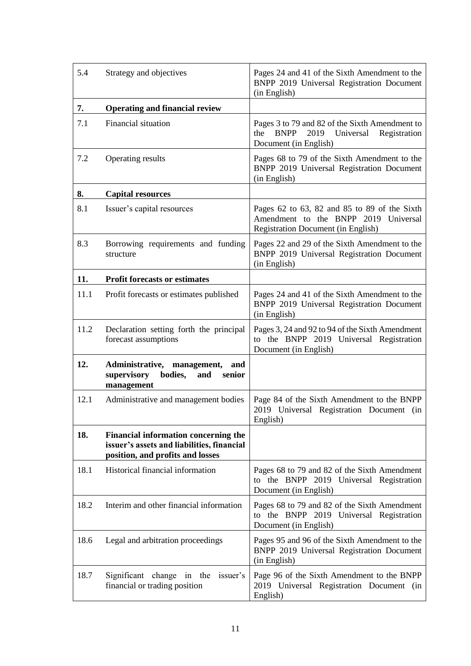| 5.4  | Strategy and objectives                                                                                                | Pages 24 and 41 of the Sixth Amendment to the<br>BNPP 2019 Universal Registration Document<br>(in English)                         |
|------|------------------------------------------------------------------------------------------------------------------------|------------------------------------------------------------------------------------------------------------------------------------|
| 7.   | <b>Operating and financial review</b>                                                                                  |                                                                                                                                    |
| 7.1  | Financial situation                                                                                                    | Pages 3 to 79 and 82 of the Sixth Amendment to<br><b>BNPP</b><br>2019<br>Universal<br>the<br>Registration<br>Document (in English) |
| 7.2  | Operating results                                                                                                      | Pages 68 to 79 of the Sixth Amendment to the<br>BNPP 2019 Universal Registration Document<br>(in English)                          |
| 8.   | <b>Capital resources</b>                                                                                               |                                                                                                                                    |
| 8.1  | Issuer's capital resources                                                                                             | Pages 62 to 63, 82 and 85 to 89 of the Sixth<br>Amendment to the BNPP 2019 Universal<br><b>Registration Document (in English)</b>  |
| 8.3  | Borrowing requirements and funding<br>structure                                                                        | Pages 22 and 29 of the Sixth Amendment to the<br>BNPP 2019 Universal Registration Document<br>(in English)                         |
| 11.  | <b>Profit forecasts or estimates</b>                                                                                   |                                                                                                                                    |
| 11.1 | Profit forecasts or estimates published                                                                                | Pages 24 and 41 of the Sixth Amendment to the<br>BNPP 2019 Universal Registration Document<br>(in English)                         |
| 11.2 | Declaration setting forth the principal<br>forecast assumptions                                                        | Pages 3, 24 and 92 to 94 of the Sixth Amendment<br>to the BNPP 2019 Universal Registration<br>Document (in English)                |
| 12.  | Administrative, management,<br>and<br>supervisory<br>bodies,<br>and<br>senior<br>management                            |                                                                                                                                    |
| 12.1 | Administrative and management bodies                                                                                   | Page 84 of the Sixth Amendment to the BNPP<br>2019 Universal Registration Document (in<br>English)                                 |
| 18.  | Financial information concerning the<br>issuer's assets and liabilities, financial<br>position, and profits and losses |                                                                                                                                    |
| 18.1 | Historical financial information                                                                                       | Pages 68 to 79 and 82 of the Sixth Amendment<br>to the BNPP 2019 Universal Registration<br>Document (in English)                   |
| 18.2 | Interim and other financial information                                                                                | Pages 68 to 79 and 82 of the Sixth Amendment<br>to the BNPP 2019 Universal Registration<br>Document (in English)                   |
| 18.6 | Legal and arbitration proceedings                                                                                      | Pages 95 and 96 of the Sixth Amendment to the<br>BNPP 2019 Universal Registration Document<br>(in English)                         |
| 18.7 | Significant change in the<br>issuer's<br>financial or trading position                                                 | Page 96 of the Sixth Amendment to the BNPP<br>2019 Universal Registration Document (in<br>English)                                 |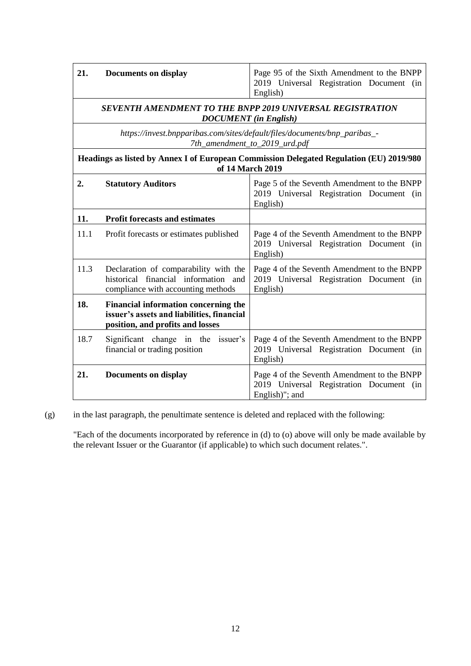| English) |
|----------|
|----------|

#### *SEVENTH AMENDMENT TO THE BNPP 2019 UNIVERSAL REGISTRATION DOCUMENT (in English)*

*[https://invest.bnpparibas.com/sites/default/files/documents/bnp\\_paribas\\_-](https://invest.bnpparibas.com/sites/default/files/documents/bnp_paribas_-7th_amendment_to_2019_urd.pdf) [7th\\_amendment\\_to\\_2019\\_urd.pdf](https://invest.bnpparibas.com/sites/default/files/documents/bnp_paribas_-7th_amendment_to_2019_urd.pdf)*

**Headings as listed by Annex I of European Commission Delegated Regulation (EU) 2019/980 of 14 March 2019**

| 2.   | <b>Statutory Auditors</b>                                                                                              | Page 5 of the Seventh Amendment to the BNPP<br>2019 Universal Registration Document (in<br>English)       |
|------|------------------------------------------------------------------------------------------------------------------------|-----------------------------------------------------------------------------------------------------------|
| 11.  | <b>Profit forecasts and estimates</b>                                                                                  |                                                                                                           |
| 11.1 | Profit forecasts or estimates published                                                                                | Page 4 of the Seventh Amendment to the BNPP<br>2019 Universal Registration Document (in<br>English)       |
| 11.3 | Declaration of comparability with the<br>historical financial information and<br>compliance with accounting methods    | Page 4 of the Seventh Amendment to the BNPP<br>2019 Universal Registration Document (in<br>English)       |
| 18.  | Financial information concerning the<br>issuer's assets and liabilities, financial<br>position, and profits and losses |                                                                                                           |
| 18.7 | Significant change in the issuer's<br>financial or trading position                                                    | Page 4 of the Seventh Amendment to the BNPP<br>2019 Universal Registration Document (in<br>English)       |
| 21.  | <b>Documents on display</b>                                                                                            | Page 4 of the Seventh Amendment to the BNPP<br>2019 Universal Registration Document (in<br>English)"; and |

 $(g)$  in the last paragraph, the penultimate sentence is deleted and replaced with the following:

"Each of the documents incorporated by reference in (d) to (o) above will only be made available by the relevant Issuer or the Guarantor (if applicable) to which such document relates.".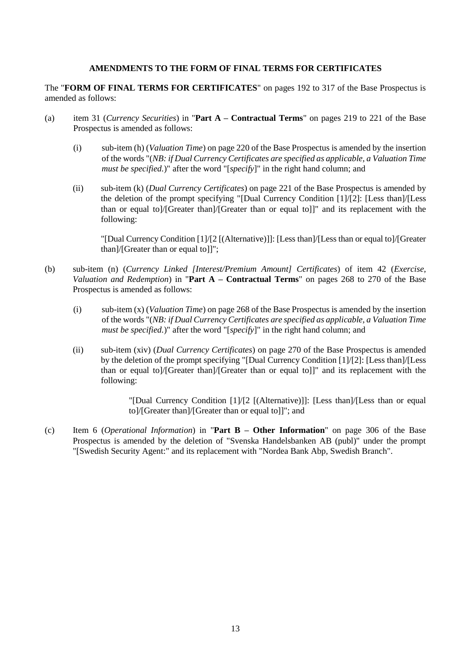#### **AMENDMENTS TO THE FORM OF FINAL TERMS FOR CERTIFICATES**

The "**FORM OF FINAL TERMS FOR CERTIFICATES**" on pages 192 to 317 of the Base Prospectus is amended as follows:

- (a) item 31 (*Currency Securities*) in "**Part A – Contractual Terms**" on pages 219 to 221 of the Base Prospectus is amended as follows:
	- (i) sub-item (h) (*Valuation Time*) on page 220 of the Base Prospectus is amended by the insertion of the words "(*NB: if Dual Currency Certificates are specified as applicable, a Valuation Time must be specified.*)" after the word "[*specify*]" in the right hand column; and
	- (ii) sub-item (k) (*Dual Currency Certificates*) on page 221 of the Base Prospectus is amended by the deletion of the prompt specifying "[Dual Currency Condition [1]/[2]: [Less than]/[Less than or equal to]/[Greater than]/[Greater than or equal to]]" and its replacement with the following:

"[Dual Currency Condition [1]/[2 [(Alternative)]]: [Less than]/[Less than or equal to]/[Greater than]/[Greater than or equal to]]";

- (b) sub-item (n) (*Currency Linked [Interest/Premium Amount] Certificates*) of item 42 (*Exercise, Valuation and Redemption*) in "**Part A – Contractual Terms**" on pages 268 to 270 of the Base Prospectus is amended as follows:
	- (i) sub-item (x) (*Valuation Time*) on page 268 of the Base Prospectus is amended by the insertion of the words "(*NB: if Dual Currency Certificates are specified as applicable, a Valuation Time must be specified.*)" after the word "[*specify*]" in the right hand column; and
	- (ii) sub-item (xiv) (*Dual Currency Certificates*) on page 270 of the Base Prospectus is amended by the deletion of the prompt specifying "[Dual Currency Condition [1]/[2]: [Less than]/[Less than or equal to]/[Greater than]/[Greater than or equal to]]" and its replacement with the following:

"[Dual Currency Condition [1]/[2 [(Alternative)]]: [Less than]/[Less than or equal to]/[Greater than]/[Greater than or equal to]]"; and

(c) Item 6 (*Operational Information*) in "**Part B – Other Information**" on page 306 of the Base Prospectus is amended by the deletion of "Svenska Handelsbanken AB (publ)" under the prompt "[Swedish Security Agent:" and its replacement with "Nordea Bank Abp, Swedish Branch".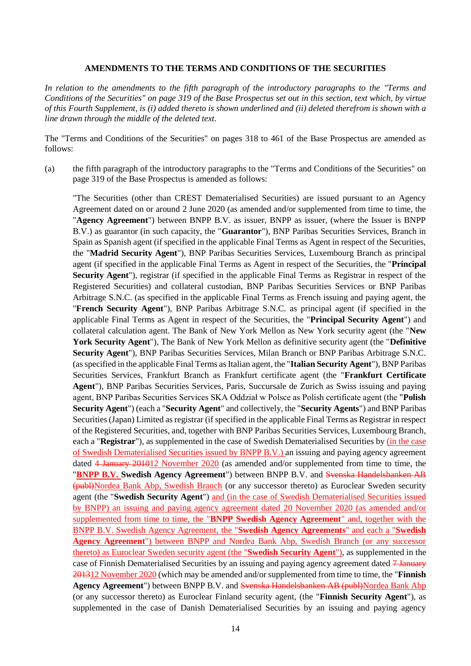#### **AMENDMENTS TO THE TERMS AND CONDITIONS OF THE SECURITIES**

*In relation to the amendments to the fifth paragraph of the introductory paragraphs to the "Terms and Conditions of the Securities" on page 319 of the Base Prospectus set out in this section, text which, by virtue of this Fourth Supplement, is (i) added thereto is shown underlined and (ii) deleted therefrom is shown with a line drawn through the middle of the deleted text.*

The "Terms and Conditions of the Securities" on pages 318 to 461 of the Base Prospectus are amended as follows:

(a) the fifth paragraph of the introductory paragraphs to the "Terms and Conditions of the Securities" on page 319 of the Base Prospectus is amended as follows:

"The Securities (other than CREST Dematerialised Securities) are issued pursuant to an Agency Agreement dated on or around 2 June 2020 (as amended and/or supplemented from time to time, the "**Agency Agreement**") between BNPP B.V. as issuer, BNPP as issuer, (where the Issuer is BNPP B.V.) as guarantor (in such capacity, the "**Guarantor**"), BNP Paribas Securities Services, Branch in Spain as Spanish agent (if specified in the applicable Final Terms as Agent in respect of the Securities, the "**Madrid Security Agent**"), BNP Paribas Securities Services, Luxembourg Branch as principal agent (if specified in the applicable Final Terms as Agent in respect of the Securities, the "**Principal Security Agent**"), registrar (if specified in the applicable Final Terms as Registrar in respect of the Registered Securities) and collateral custodian, BNP Paribas Securities Services or BNP Paribas Arbitrage S.N.C. (as specified in the applicable Final Terms as French issuing and paying agent, the "**French Security Agent**"), BNP Paribas Arbitrage S.N.C. as principal agent (if specified in the applicable Final Terms as Agent in respect of the Securities, the "**Principal Security Agent**") and collateral calculation agent. The Bank of New York Mellon as New York security agent (the "**New York Security Agent**"), The Bank of New York Mellon as definitive security agent (the "**Definitive Security Agent**"), BNP Paribas Securities Services, Milan Branch or BNP Paribas Arbitrage S.N.C. (as specified in the applicable Final Terms as Italian agent, the "**Italian Security Agent**"), BNP Paribas Securities Services, Frankfurt Branch as Frankfurt certificate agent (the "**Frankfurt Certificate Agent**"), BNP Paribas Securities Services, Paris, Succursale de Zurich as Swiss issuing and paying agent, BNP Paribas Securities Services SKA Oddział w Polsce as Polish certificate agent (the "**Polish Security Agent**") (each a "**Security Agent**" and collectively, the "**Security Agents**") and BNP Paribas Securities (Japan) Limited as registrar (if specified in the applicable Final Terms as Registrar in respect of the Registered Securities, and, together with BNP Paribas Securities Services, Luxembourg Branch, each a "**Registrar**"), as supplemented in the case of Swedish Dematerialised Securities by (in the case of Swedish Dematerialised Securities issued by BNPP B.V.) an issuing and paying agency agreement dated 4 January 201012 November 2020 (as amended and/or supplemented from time to time, the "**BNPP B.V. Swedish Agency Agreement**") between BNPP B.V. and Svenska Handelsbanken AB (publ)Nordea Bank Abp, Swedish Branch (or any successor thereto) as Euroclear Sweden security agent (the "**Swedish Security Agent**") and (in the case of Swedish Dematerialised Securities issued by BNPP) an issuing and paying agency agreement dated 20 November 2020 (as amended and/or supplemented from time to time, the "**BNPP Swedish Agency Agreement**" and, together with the BNPP B.V. Swedish Agency Agreement, the "**Swedish Agency Agreements**" and each a "**Swedish Agency Agreement**") between BNPP and Nordea Bank Abp, Swedish Branch (or any successor thereto) as Euroclear Sweden security agent (the "**Swedish Security Agent**"), as supplemented in the case of Finnish Dematerialised Securities by an issuing and paying agency agreement dated 7 January 201312 November 2020 (which may be amended and/or supplemented from time to time, the "**Finnish Agency Agreement**") between BNPP B.V. and Svenska Handelsbanken AB (publ)Nordea Bank Abp (or any successor thereto) as Euroclear Finland security agent, (the "**Finnish Security Agent**"), as supplemented in the case of Danish Dematerialised Securities by an issuing and paying agency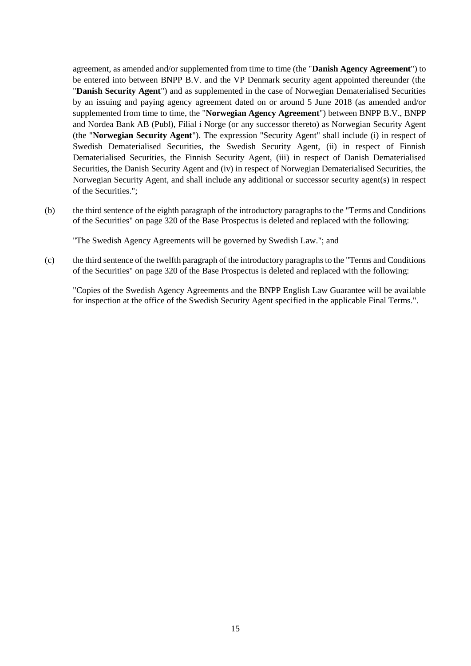agreement, as amended and/or supplemented from time to time (the "**Danish Agency Agreement**") to be entered into between BNPP B.V. and the VP Denmark security agent appointed thereunder (the "**Danish Security Agent**") and as supplemented in the case of Norwegian Dematerialised Securities by an issuing and paying agency agreement dated on or around 5 June 2018 (as amended and/or supplemented from time to time, the "**Norwegian Agency Agreement**") between BNPP B.V., BNPP and Nordea Bank AB (Publ), Filial i Norge (or any successor thereto) as Norwegian Security Agent (the "**Norwegian Security Agent**"). The expression "Security Agent" shall include (i) in respect of Swedish Dematerialised Securities, the Swedish Security Agent, (ii) in respect of Finnish Dematerialised Securities, the Finnish Security Agent, (iii) in respect of Danish Dematerialised Securities, the Danish Security Agent and (iv) in respect of Norwegian Dematerialised Securities, the Norwegian Security Agent, and shall include any additional or successor security agent(s) in respect of the Securities.";

(b) the third sentence of the eighth paragraph of the introductory paragraphs to the "Terms and Conditions of the Securities" on page 320 of the Base Prospectus is deleted and replaced with the following:

"The Swedish Agency Agreements will be governed by Swedish Law."; and

(c) the third sentence of the twelfth paragraph of the introductory paragraphs to the "Terms and Conditions of the Securities" on page 320 of the Base Prospectus is deleted and replaced with the following:

"Copies of the Swedish Agency Agreements and the BNPP English Law Guarantee will be available for inspection at the office of the Swedish Security Agent specified in the applicable Final Terms.".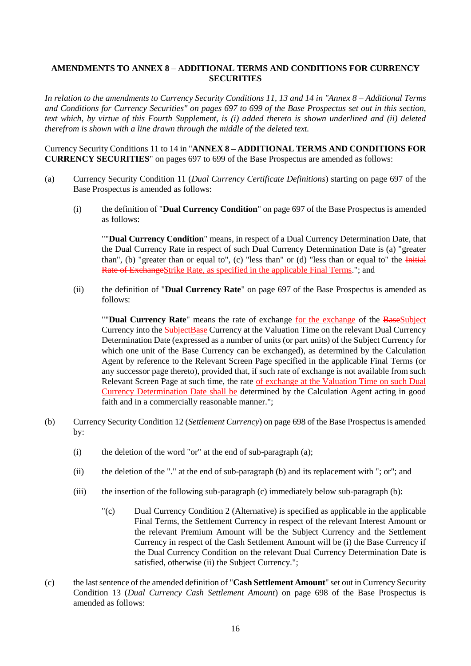#### **AMENDMENTS TO ANNEX 8 – ADDITIONAL TERMS AND CONDITIONS FOR CURRENCY SECURITIES**

*In relation to the amendments to Currency Security Conditions 11, 13 and 14 in "Annex 8 – Additional Terms and Conditions for Currency Securities" on pages 697 to 699 of the Base Prospectus set out in this section, text which, by virtue of this Fourth Supplement, is (i) added thereto is shown underlined and (ii) deleted therefrom is shown with a line drawn through the middle of the deleted text.*

Currency Security Conditions 11 to 14 in "**ANNEX 8 – ADDITIONAL TERMS AND CONDITIONS FOR CURRENCY SECURITIES**" on pages 697 to 699 of the Base Prospectus are amended as follows:

- (a) Currency Security Condition 11 (*Dual Currency Certificate Definitions*) starting on page 697 of the Base Prospectus is amended as follows:
	- (i) the definition of "**Dual Currency Condition**" on page 697 of the Base Prospectus is amended as follows:

""**Dual Currency Condition**" means, in respect of a Dual Currency Determination Date, that the Dual Currency Rate in respect of such Dual Currency Determination Date is (a) "greater than", (b) "greater than or equal to", (c) "less than" or (d) "less than or equal to" the  $\overline{\text{Initial}}$ Rate of ExchangeStrike Rate, as specified in the applicable Final Terms."; and

(ii) the definition of "**Dual Currency Rate**" on page 697 of the Base Prospectus is amended as follows:

""**Dual Currency Rate**" means the rate of exchange for the exchange of the BaseSubject Currency into the SubjectBase Currency at the Valuation Time on the relevant Dual Currency Determination Date (expressed as a number of units (or part units) of the Subject Currency for which one unit of the Base Currency can be exchanged), as determined by the Calculation Agent by reference to the Relevant Screen Page specified in the applicable Final Terms (or any successor page thereto), provided that, if such rate of exchange is not available from such Relevant Screen Page at such time, the rate of exchange at the Valuation Time on such Dual Currency Determination Date shall be determined by the Calculation Agent acting in good faith and in a commercially reasonable manner.";

- (b) Currency Security Condition 12 (*Settlement Currency*) on page 698 of the Base Prospectus is amended by:
	- (i) the deletion of the word "or" at the end of sub-paragraph (a);
	- (ii) the deletion of the "." at the end of sub-paragraph (b) and its replacement with "; or"; and
	- (iii) the insertion of the following sub-paragraph (c) immediately below sub-paragraph (b):
		- "(c) Dual Currency Condition 2 (Alternative) is specified as applicable in the applicable Final Terms, the Settlement Currency in respect of the relevant Interest Amount or the relevant Premium Amount will be the Subject Currency and the Settlement Currency in respect of the Cash Settlement Amount will be (i) the Base Currency if the Dual Currency Condition on the relevant Dual Currency Determination Date is satisfied, otherwise (ii) the Subject Currency.";
- (c) the last sentence of the amended definition of "**Cash Settlement Amount**" set out in Currency Security Condition 13 (*Dual Currency Cash Settlement Amount*) on page 698 of the Base Prospectus is amended as follows: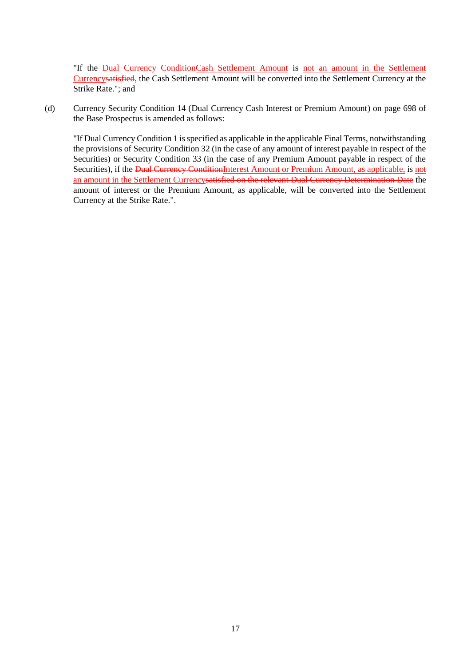"If the Dual Currency ConditionCash Settlement Amount is not an amount in the Settlement Currencysatisfied, the Cash Settlement Amount will be converted into the Settlement Currency at the Strike Rate."; and

(d) Currency Security Condition 14 (Dual Currency Cash Interest or Premium Amount) on page 698 of the Base Prospectus is amended as follows:

"If Dual Currency Condition 1 is specified as applicable in the applicable Final Terms, notwithstanding the provisions of Security Condition 32 (in the case of any amount of interest payable in respect of the Securities) or Security Condition 33 (in the case of any Premium Amount payable in respect of the Securities), if the Dual Currency ConditionInterest Amount or Premium Amount, as applicable, is not an amount in the Settlement Currencysatisfied on the relevant Dual Currency Determination Date the amount of interest or the Premium Amount, as applicable, will be converted into the Settlement Currency at the Strike Rate.".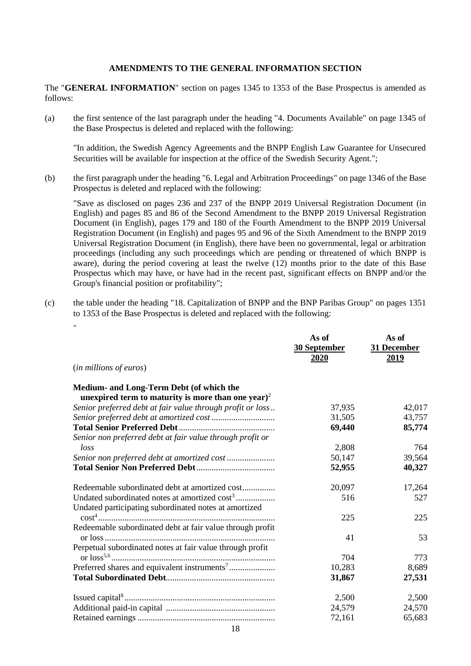#### **AMENDMENTS TO THE GENERAL INFORMATION SECTION**

The "**GENERAL INFORMATION**" section on pages 1345 to 1353 of the Base Prospectus is amended as follows:

(a) the first sentence of the last paragraph under the heading "4. Documents Available" on page 1345 of the Base Prospectus is deleted and replaced with the following:

"In addition, the Swedish Agency Agreements and the BNPP English Law Guarantee for Unsecured Securities will be available for inspection at the office of the Swedish Security Agent.";

(b) the first paragraph under the heading "6. Legal and Arbitration Proceedings" on page 1346 of the Base Prospectus is deleted and replaced with the following:

"Save as disclosed on pages 236 and 237 of the BNPP 2019 Universal Registration Document (in English) and pages 85 and 86 of the Second Amendment to the BNPP 2019 Universal Registration Document (in English), pages 179 and 180 of the Fourth Amendment to the BNPP 2019 Universal Registration Document (in English) and pages 95 and 96 of the Sixth Amendment to the BNPP 2019 Universal Registration Document (in English), there have been no governmental, legal or arbitration proceedings (including any such proceedings which are pending or threatened of which BNPP is aware), during the period covering at least the twelve (12) months prior to the date of this Base Prospectus which may have, or have had in the recent past, significant effects on BNPP and/or the Group's financial position or profitability";

(c) the table under the heading "18. Capitalization of BNPP and the BNP Paribas Group" on pages 1351 to 1353 of the Base Prospectus is deleted and replaced with the following:

|                                                                                                                    | As of<br>30 September<br><u>2020</u> | As of<br>31 December<br>2019 |
|--------------------------------------------------------------------------------------------------------------------|--------------------------------------|------------------------------|
| ( <i>in millions of euros</i> )                                                                                    |                                      |                              |
| Medium- and Long-Term Debt (of which the<br>unexpired term to maturity is more than one year) <sup>2</sup>         |                                      |                              |
| Senior preferred debt at fair value through profit or loss                                                         | 37,935                               | 42,017                       |
|                                                                                                                    | 31,505                               | 43,757                       |
| Senior non preferred debt at fair value through profit or                                                          | 69,440                               | 85,774                       |
| loss                                                                                                               | 2,808                                | 764                          |
| Senior non preferred debt at amortized cost                                                                        | 50,147                               | 39,564                       |
|                                                                                                                    | 52,955                               | 40,327                       |
| Redeemable subordinated debt at amortized cost                                                                     | 20,097                               | 17,264                       |
| Undated subordinated notes at amortized cost <sup>3</sup><br>Undated participating subordinated notes at amortized | 516                                  | 527                          |
| Redeemable subordinated debt at fair value through profit                                                          | 225                                  | 225                          |
| Perpetual subordinated notes at fair value through profit                                                          | 41                                   | 53                           |
|                                                                                                                    | 704                                  | 773                          |
|                                                                                                                    | 10,283                               | 8,689                        |
|                                                                                                                    | 31,867                               | 27,531                       |
|                                                                                                                    | 2,500                                | 2,500                        |
|                                                                                                                    | 24,579                               | 24,570                       |
|                                                                                                                    | 72,161                               | 65,683                       |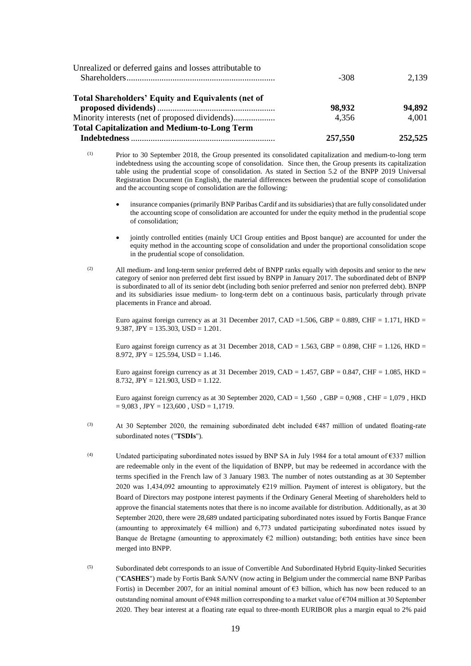|                                                           | 257,550 | 252,525 |
|-----------------------------------------------------------|---------|---------|
| <b>Total Capitalization and Medium-to-Long Term</b>       |         |         |
|                                                           | 4.356   | 4,001   |
|                                                           | 98,932  | 94,892  |
| <b>Total Shareholders' Equity and Equivalents (net of</b> |         |         |
|                                                           | $-308$  | 2.139   |
| Unrealized or deferred gains and losses attributable to   |         |         |

- (1) Prior to 30 September 2018, the Group presented its consolidated capitalization and medium-to-long term indebtedness using the accounting scope of consolidation. Since then, the Group presents its capitalization table using the prudential scope of consolidation. As stated in Section 5.2 of the BNPP 2019 Universal Registration Document (in English), the material differences between the prudential scope of consolidation and the accounting scope of consolidation are the following:
	- insurance companies (primarily BNP Paribas Cardif and its subsidiaries) that are fully consolidated under the accounting scope of consolidation are accounted for under the equity method in the prudential scope of consolidation;
	- jointly controlled entities (mainly UCI Group entities and Bpost banque) are accounted for under the equity method in the accounting scope of consolidation and under the proportional consolidation scope in the prudential scope of consolidation.
- (2) All medium- and long-term senior preferred debt of BNPP ranks equally with deposits and senior to the new category of senior non preferred debt first issued by BNPP in January 2017. The subordinated debt of BNPP is subordinated to all of its senior debt (including both senior preferred and senior non preferred debt). BNPP and its subsidiaries issue medium- to long-term debt on a continuous basis, particularly through private placements in France and abroad.

Euro against foreign currency as at 31 December 2017, CAD = 1.506, GBP = 0.889, CHF = 1.171, HKD = 9.387,  $JPY = 135.303$ ,  $USD = 1.201$ .

Euro against foreign currency as at 31 December 2018, CAD = 1.563, GBP = 0.898, CHF = 1.126, HKD = 8.972, JPY = 125.594, USD = 1.146.

Euro against foreign currency as at 31 December 2019, CAD =  $1.457$ , GBP =  $0.847$ , CHF =  $1.085$ , HKD = 8.732,  $JPY = 121.903$ ,  $USD = 1.122$ .

Euro against foreign currency as at 30 September 2020, CAD =  $1,560$ , GBP = 0,908, CHF = 1,079, HKD  $= 9,083$ , JPY = 123,600, USD = 1,1719.

- (3) At 30 September 2020, the remaining subordinated debt included  $\epsilon$ 487 million of undated floating-rate subordinated notes ("**TSDIs**").
- (4) Undated participating subordinated notes issued by BNP SA in July 1984 for a total amount of  $\epsilon$ 337 million are redeemable only in the event of the liquidation of BNPP, but may be redeemed in accordance with the terms specified in the French law of 3 January 1983. The number of notes outstanding as at 30 September 2020 was 1,434,092 amounting to approximately €219 million. Payment of interest is obligatory, but the Board of Directors may postpone interest payments if the Ordinary General Meeting of shareholders held to approve the financial statements notes that there is no income available for distribution. Additionally, as at 30 September 2020, there were 28,689 undated participating subordinated notes issued by Fortis Banque France (amounting to approximately €4 million) and 6,773 undated participating subordinated notes issued by Banque de Bretagne (amounting to approximately  $\epsilon$ 2 million) outstanding; both entities have since been merged into BNPP.
- (5) Subordinated debt corresponds to an issue of Convertible And Subordinated Hybrid Equity-linked Securities ("**CASHES**") made by Fortis Bank SA/NV (now acting in Belgium under the commercial name BNP Paribas Fortis) in December 2007, for an initial nominal amount of  $\epsilon$ 3 billion, which has now been reduced to an outstanding nominal amount of  $\epsilon$ 948 million corresponding to a market value of  $\epsilon$ 704 million at 30 September 2020. They bear interest at a floating rate equal to three-month EURIBOR plus a margin equal to 2% paid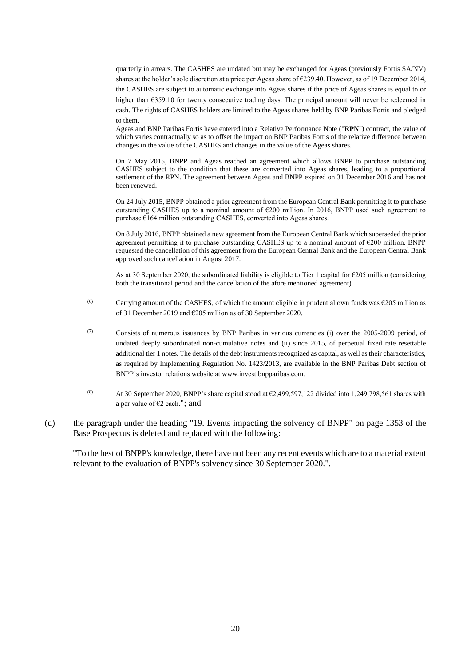quarterly in arrears. The CASHES are undated but may be exchanged for Ageas (previously Fortis SA/NV) shares at the holder's sole discretion at a price per Ageas share of €239.40. However, as of 19 December 2014, the CASHES are subject to automatic exchange into Ageas shares if the price of Ageas shares is equal to or higher than €359.10 for twenty consecutive trading days. The principal amount will never be redeemed in cash. The rights of CASHES holders are limited to the Ageas shares held by BNP Paribas Fortis and pledged to them.

Ageas and BNP Paribas Fortis have entered into a Relative Performance Note ("**RPN**") contract, the value of which varies contractually so as to offset the impact on BNP Paribas Fortis of the relative difference between changes in the value of the CASHES and changes in the value of the Ageas shares.

On 7 May 2015, BNPP and Ageas reached an agreement which allows BNPP to purchase outstanding CASHES subject to the condition that these are converted into Ageas shares, leading to a proportional settlement of the RPN. The agreement between Ageas and BNPP expired on 31 December 2016 and has not been renewed.

On 24 July 2015, BNPP obtained a prior agreement from the European Central Bank permitting it to purchase outstanding CASHES up to a nominal amount of €200 million. In 2016, BNPP used such agreement to purchase €164 million outstanding CASHES, converted into Ageas shares.

On 8 July 2016, BNPP obtained a new agreement from the European Central Bank which superseded the prior agreement permitting it to purchase outstanding CASHES up to a nominal amount of  $\epsilon$ 200 million. BNPP requested the cancellation of this agreement from the European Central Bank and the European Central Bank approved such cancellation in August 2017.

As at 30 September 2020, the subordinated liability is eligible to Tier 1 capital for  $\epsilon$ 205 million (considering both the transitional period and the cancellation of the afore mentioned agreement).

- (6) Carrying amount of the CASHES, of which the amount eligible in prudential own funds was  $\epsilon$ 205 million as of 31 December 2019 and €205 million as of 30 September 2020.
- (7) Consists of numerous issuances by BNP Paribas in various currencies (i) over the 2005-2009 period, of undated deeply subordinated non-cumulative notes and (ii) since 2015, of perpetual fixed rate resettable additional tier 1 notes. The details of the debt instruments recognized as capital, as well as their characteristics, as required by Implementing Regulation No. 1423/2013, are available in the BNP Paribas Debt section of BNPP's investor relations website at www.invest.bnpparibas.com.
- <sup>(8)</sup> At 30 September 2020, BNPP's share capital stood at  $\epsilon$ 2,499,597,122 divided into 1,249,798,561 shares with a par value of €2 each."; and
- (d) the paragraph under the heading "19. Events impacting the solvency of BNPP" on page 1353 of the Base Prospectus is deleted and replaced with the following:

"To the best of BNPP's knowledge, there have not been any recent events which are to a material extent relevant to the evaluation of BNPP's solvency since 30 September 2020.".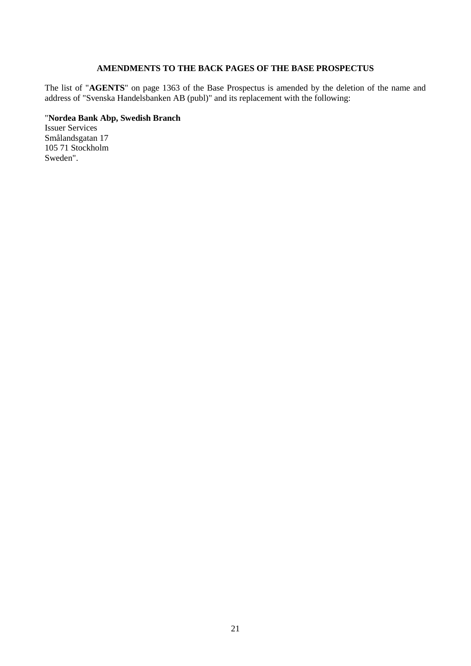### **AMENDMENTS TO THE BACK PAGES OF THE BASE PROSPECTUS**

The list of "**AGENTS**" on page 1363 of the Base Prospectus is amended by the deletion of the name and address of "Svenska Handelsbanken AB (publ)" and its replacement with the following:

#### "**Nordea Bank Abp, Swedish Branch**

Issuer Services Smålandsgatan 17 105 71 Stockholm Sweden".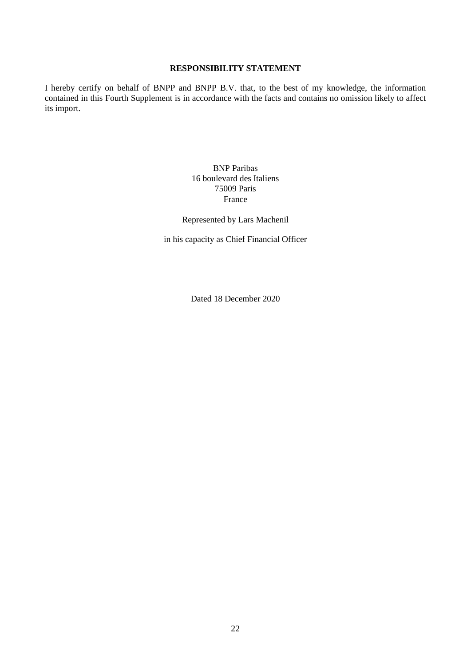### **RESPONSIBILITY STATEMENT**

I hereby certify on behalf of BNPP and BNPP B.V. that, to the best of my knowledge, the information contained in this Fourth Supplement is in accordance with the facts and contains no omission likely to affect its import.

> BNP Paribas 16 boulevard des Italiens 75009 Paris France

Represented by Lars Machenil

in his capacity as Chief Financial Officer

Dated 18 December 2020